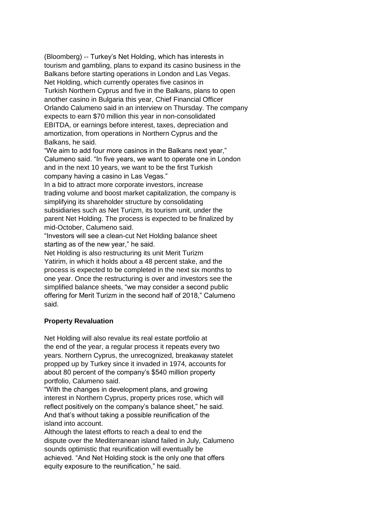(Bloomberg) -- Turkey's Net Holding, which has interests in tourism and gambling, plans to expand its casino business in the Balkans before starting operations in London and Las Vegas. Net Holding, which currently operates five casinos in Turkish Northern Cyprus and five in the Balkans, plans to open another casino in Bulgaria this year, Chief Financial Officer Orlando Calumeno said in an interview on Thursday. The company expects to earn \$70 million this year in non-consolidated EBITDA, or earnings before interest, taxes, depreciation and amortization, from operations in Northern Cyprus and the Balkans, he said.

"We aim to add four more casinos in the Balkans next year," Calumeno said. "In five years, we want to operate one in London and in the next 10 years, we want to be the first Turkish company having a casino in Las Vegas."

In a bid to attract more corporate investors, increase trading volume and boost market capitalization, the company is simplifying its shareholder structure by consolidating subsidiaries such as Net Turizm, its tourism unit, under the parent Net Holding. The process is expected to be finalized by mid-October, Calumeno said.

"Investors will see a clean-cut Net Holding balance sheet starting as of the new year," he said.

Net Holding is also restructuring its unit Merit Turizm Yatirim, in which it holds about a 48 percent stake, and the process is expected to be completed in the next six months to one year. Once the restructuring is over and investors see the simplified balance sheets, "we may consider a second public offering for Merit Turizm in the second half of 2018," Calumeno said.

## **Property Revaluation**

Net Holding will also revalue its real estate portfolio at the end of the year, a regular process it repeats every two years. Northern Cyprus, the unrecognized, breakaway statelet propped up by Turkey since it invaded in 1974, accounts for about 80 percent of the company's \$540 million property portfolio, Calumeno said.

"With the changes in development plans, and growing interest in Northern Cyprus, property prices rose, which will reflect positively on the company's balance sheet," he said. And that's without taking a possible reunification of the island into account.

Although the latest efforts to reach a deal to end the dispute over the Mediterranean island failed in July, Calumeno sounds optimistic that reunification will eventually be achieved. "And Net Holding stock is the only one that offers equity exposure to the reunification," he said.